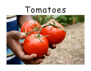# Tomatoes

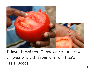

I love tomatoes. I am going to grow a tomato plant from one of these little seeds.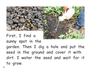

First, I find a sunny spot in the garden. Then I dig a hole and put the seed in the ground and cover it with dirt. I water the seed and wait for it to grow.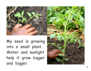

My seed is growing into a small plant. Water and sunlight help it grow bigger and bigger.

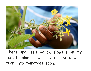

There are little yellow flowers on my tomato plant now. These flowers will turn into tomatoes soon.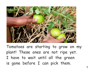

Tomatoes are starting to grow on my plant! These ones are not ripe yet. I have to wait until all the green is gone before I can pick them.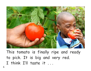

This tomato is finally ripe and ready to pick. It is big and very red. I think I'll taste it ...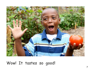

# Wow! It tastes so good!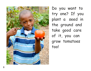

Do you want to try one? If you plant a seed in the ground and take good care of it, you can grow tomatoes too!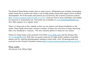The Mustard Seed Books project uses an open-source, Wikipedia-type strategy, leveraging public expertise to create and refine a set of high-quality books that support early reading development. All of the books and pictures are covered by the Creative Commons License (http://creativecommons.org/licenses/by-nc-sa/3.0/ ) and are free to print, distribute, and modify for personal or educational use. The books are available at www.mustardseedbooks.org. New titles appear on a regular basis.

There is a blog post on the website so that we can receive and discuss feedback on the books. These books have been revised a number of times, but we'd love to keep improving them. Any feedback is welcome. We also welcome photos or ideas for new books.

Photos for these books come primarily from Flickr (www.flickr.com) and the Morgue File (www.morguefile.com). Both sites are great resources for high-quality publicly accessible photos and for aspiring photographers looking to share their work. All photographs are covered by the Creative Commons License (http://creativecommons.org/licenses/by-nc-sa/3.0/ ).

#### **Photo credits:**

All pictures from Allison Ogle.